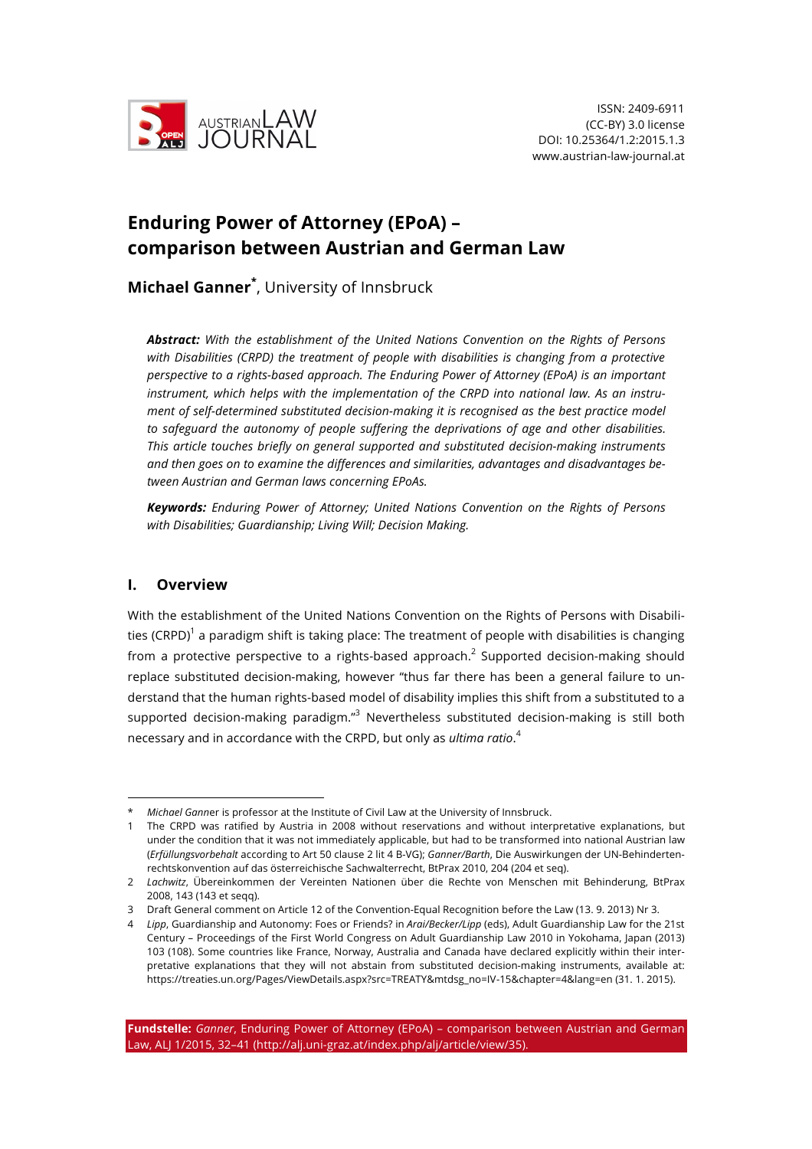

# **Enduring Power of Attorney (EPoA) – comparison between Austrian and German Law**

**Michael Ganner\*** , University of Innsbruck

*Abstract: With the establishment of the United Nations Convention on the Rights of Persons with Disabilities (CRPD) the treatment of people with disabilities is changing from a protective perspective to a rights-based approach. The Enduring Power of Attorney (EPoA) is an important instrument, which helps with the implementation of the CRPD into national law. As an instrument of self-determined substituted decision-making it is recognised as the best practice model to safeguard the autonomy of people suffering the deprivations of age and other disabilities. This article touches briefly on general supported and substituted decision-making instruments and then goes on to examine the differences and similarities, advantages and disadvantages between Austrian and German laws concerning EPoAs.*

*Keywords: Enduring Power of Attorney; United Nations Convention on the Rights of Persons with Disabilities; Guardianship; Living Will; Decision Making.*

# **I. Overview**

With the establishment of the United Nations Convention on the Rights of Persons with Disabilities (CRPD)<sup>1</sup> a paradigm shift is taking place: The treatment of people with disabilities is changing from a protective perspective to a rights-based approach.<sup>2</sup> Supported decision-making should replace substituted decision-making, however "thus far there has been a general failure to understand that the human rights-based model of disability implies this shift from a substituted to a supported decision-making paradigm."<sup>3</sup> Nevertheless substituted decision-making is still both necessary and in accordance with the CRPD, but only as *ultima ratio*. 4

*Michael Ganner is professor at the Institute of Civil Law at the University of Innsbruck.* 

<sup>1</sup> The CRPD was ratified by Austria in 2008 without reservations and without interpretative explanations, but under the condition that it was not immediately applicable, but had to be transformed into national Austrian law (*Erfüllungsvorbehalt* according to Art 50 clause 2 lit 4 B-VG); *Ganner/Barth*, Die Auswirkungen der UN-Behindertenrechtskonvention auf das österreichische Sachwalterrecht, BtPrax 2010, 204 (204 et seq).

<sup>2</sup> *Lachwitz*, Übereinkommen der Vereinten Nationen über die Rechte von Menschen mit Behinderung, BtPrax 2008, 143 (143 et seqq).

<sup>3</sup> Draft General comment on Article 12 of the Convention-Equal Recognition before the Law (13. 9. 2013) Nr 3.

<sup>4</sup> *Lipp*, Guardianship and Autonomy: Foes or Friends? in *Arai/Becker/Lipp* (eds), Adult Guardianship Law for the 21st Century – Proceedings of the First World Congress on Adult Guardianship Law 2010 in Yokohama, Japan (2013) 103 (108). Some countries like France, Norway, Australia and Canada have declared explicitly within their interpretative explanations that they will not abstain from substituted decision-making instruments, available at: https://treaties.un.org/Pages/ViewDetails.aspx?src=TREATY&mtdsg\_no=IV-15&chapter=4&lang=en (31. 1. 2015).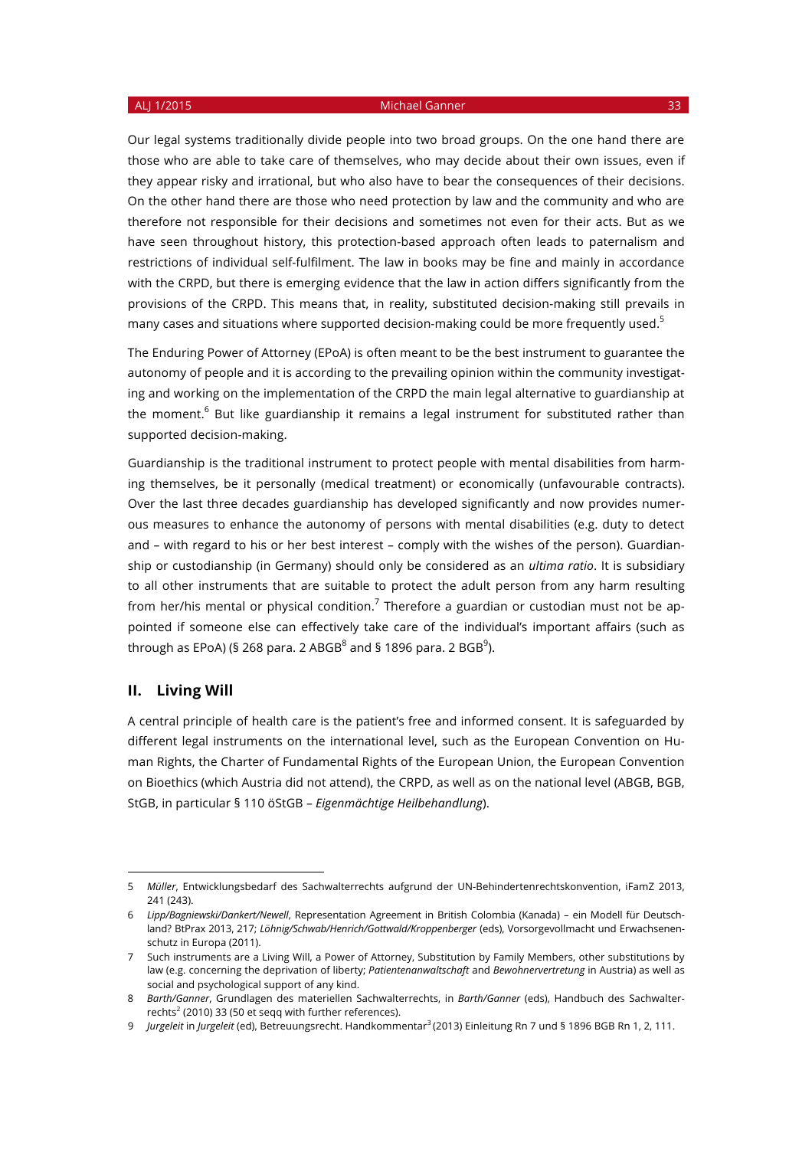Our legal systems traditionally divide people into two broad groups. On the one hand there are those who are able to take care of themselves, who may decide about their own issues, even if they appear risky and irrational, but who also have to bear the consequences of their decisions. On the other hand there are those who need protection by law and the community and who are therefore not responsible for their decisions and sometimes not even for their acts. But as we have seen throughout history, this protection-based approach often leads to paternalism and restrictions of individual self-fulfilment. The law in books may be fine and mainly in accordance with the CRPD, but there is emerging evidence that the law in action differs significantly from the provisions of the CRPD. This means that, in reality, substituted decision-making still prevails in many cases and situations where supported decision-making could be more frequently used.<sup>5</sup>

The Enduring Power of Attorney (EPoA) is often meant to be the best instrument to guarantee the autonomy of people and it is according to the prevailing opinion within the community investigating and working on the implementation of the CRPD the main legal alternative to guardianship at the moment.<sup>6</sup> But like guardianship it remains a legal instrument for substituted rather than supported decision-making.

Guardianship is the traditional instrument to protect people with mental disabilities from harming themselves, be it personally (medical treatment) or economically (unfavourable contracts). Over the last three decades guardianship has developed significantly and now provides numerous measures to enhance the autonomy of persons with mental disabilities (e.g. duty to detect and – with regard to his or her best interest – comply with the wishes of the person). Guardianship or custodianship (in Germany) should only be considered as an *ultima ratio*. It is subsidiary to all other instruments that are suitable to protect the adult person from any harm resulting from her/his mental or physical condition.<sup>7</sup> Therefore a guardian or custodian must not be appointed if someone else can effectively take care of the individual's important affairs (such as through as EPoA) (§ 268 para. 2 ABGB $^8$  and § 1896 para. 2 BGB $^9$ ).

# **II. Living Will**

 $\overline{a}$ 

A central principle of health care is the patient's free and informed consent. It is safeguarded by different legal instruments on the international level, such as the European Convention on Human Rights, the Charter of Fundamental Rights of the European Union, the European Convention on Bioethics (which Austria did not attend), the CRPD, as well as on the national level (ABGB, BGB, StGB, in particular § 110 öStGB – *Eigenmächtige Heilbehandlung*).

<sup>5</sup> *Müller*, Entwicklungsbedarf des Sachwalterrechts aufgrund der UN-Behindertenrechtskonvention, iFamZ 2013, 241 (243).

<sup>6</sup> *Lipp/Bagniewski/Dankert/Newell*, Representation Agreement in British Colombia (Kanada) – ein Modell für Deutschland? BtPrax 2013, 217; *Löhnig/Schwab/Henrich/Gottwald/Kroppenberger* (eds), Vorsorgevollmacht und Erwachsenenschutz in Europa (2011).

<sup>7</sup> Such instruments are a Living Will, a Power of Attorney, Substitution by Family Members, other substitutions by law (e.g. concerning the deprivation of liberty; *Patientenanwaltschaft* and *Bewohnervertretung* in Austria) as well as social and psychological support of any kind.

<sup>8</sup> *Barth/Ganner*, Grundlagen des materiellen Sachwalterrechts, in *Barth/Ganner* (eds), Handbuch des Sachwalterrechts<sup>2</sup> (2010) 33 (50 et seqq with further references).

<sup>9</sup> *Jurgeleit* in *Jurgeleit* (ed), Betreuungsrecht. Handkommentar3 (2013) Einleitung Rn 7 und § 1896 BGB Rn 1, 2, 111.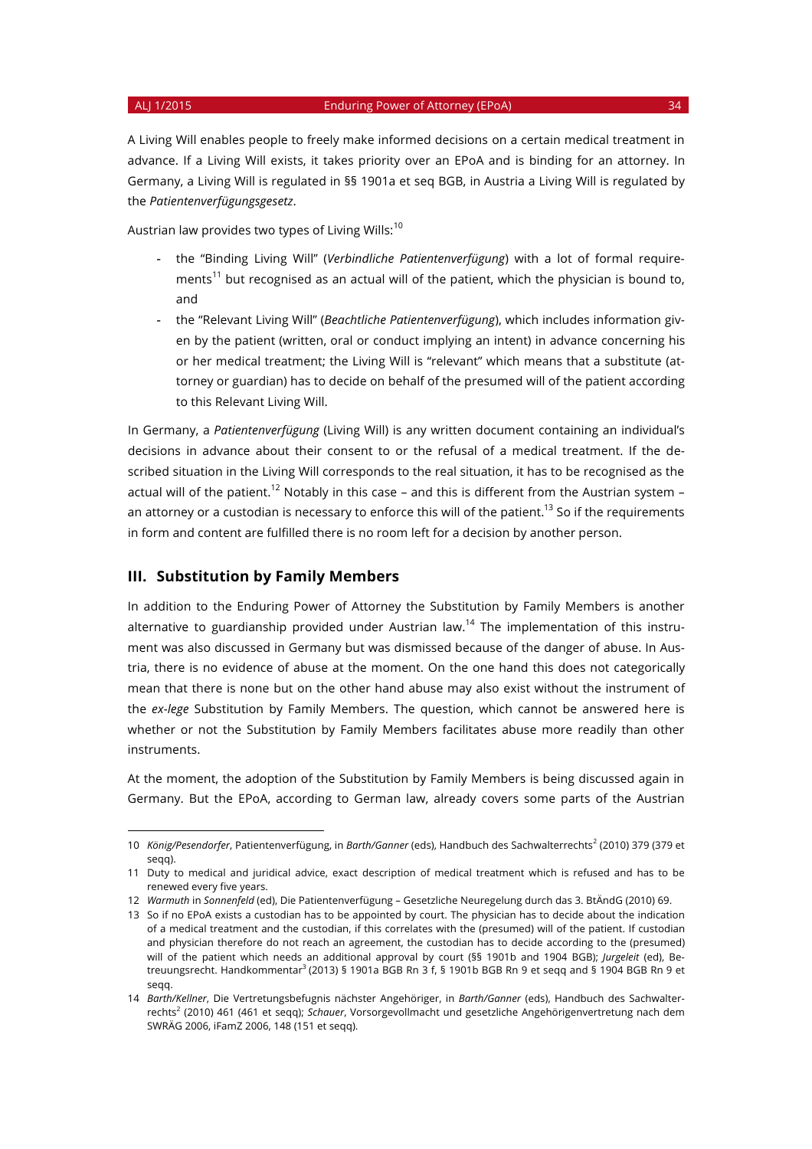$\overline{a}$ 

A Living Will enables people to freely make informed decisions on a certain medical treatment in advance. If a Living Will exists, it takes priority over an EPoA and is binding for an attorney. In Germany, a Living Will is regulated in §§ 1901a et seq BGB, in Austria a Living Will is regulated by the *Patientenverfügungsgesetz*.

Austrian law provides two types of Living Wills: $10$ 

- the "Binding Living Will" (*Verbindliche Patientenverfügung*) with a lot of formal requirements<sup>11</sup> but recognised as an actual will of the patient, which the physician is bound to, and
- the "Relevant Living Will" (*Beachtliche Patientenverfügung*), which includes information given by the patient (written, oral or conduct implying an intent) in advance concerning his or her medical treatment; the Living Will is "relevant" which means that a substitute (attorney or guardian) has to decide on behalf of the presumed will of the patient according to this Relevant Living Will.

In Germany, a *Patientenverfügung* (Living Will) is any written document containing an individual's decisions in advance about their consent to or the refusal of a medical treatment. If the described situation in the Living Will corresponds to the real situation, it has to be recognised as the actual will of the patient.<sup>12</sup> Notably in this case – and this is different from the Austrian system – an attorney or a custodian is necessary to enforce this will of the patient.<sup>13</sup> So if the requirements in form and content are fulfilled there is no room left for a decision by another person.

# **III. Substitution by Family Members**

In addition to the Enduring Power of Attorney the Substitution by Family Members is another alternative to guardianship provided under Austrian law.<sup>14</sup> The implementation of this instrument was also discussed in Germany but was dismissed because of the danger of abuse. In Austria, there is no evidence of abuse at the moment. On the one hand this does not categorically mean that there is none but on the other hand abuse may also exist without the instrument of the *ex-lege* Substitution by Family Members. The question, which cannot be answered here is whether or not the Substitution by Family Members facilitates abuse more readily than other instruments.

At the moment, the adoption of the Substitution by Family Members is being discussed again in Germany. But the EPoA, according to German law, already covers some parts of the Austrian

<sup>10</sup> *König/Pesendorfer*, Patientenverfügung, in Barth/Ganner (eds), Handbuch des Sachwalterrechts<sup>2</sup> (2010) 379 (379 et segg).

<sup>11</sup> Duty to medical and juridical advice, exact description of medical treatment which is refused and has to be renewed every five years.

<sup>12</sup> *Warmuth* in *Sonnenfeld* (ed), Die Patientenverfügung – Gesetzliche Neuregelung durch das 3. BtÄndG (2010) 69.

<sup>13</sup> So if no EPoA exists a custodian has to be appointed by court. The physician has to decide about the indication of a medical treatment and the custodian, if this correlates with the (presumed) will of the patient. If custodian and physician therefore do not reach an agreement, the custodian has to decide according to the (presumed) will of the patient which needs an additional approval by court (§§ 1901b and 1904 BGB); *Jurgeleit* (ed), Betreuungsrecht. Handkommentar<sup>3</sup> (2013) § 1901a BGB Rn 3 f, § 1901b BGB Rn 9 et seqq and § 1904 BGB Rn 9 et seqq.

<sup>14</sup> *Barth/Kellner*, Die Vertretungsbefugnis nächster Angehöriger, in *Barth/Ganner* (eds), Handbuch des Sachwalterrechts<sup>2</sup> (2010) 461 (461 et seqq); *Schauer*, Vorsorgevollmacht und gesetzliche Angehörigenvertretung nach dem SWRÄG 2006, iFamZ 2006, 148 (151 et seqq).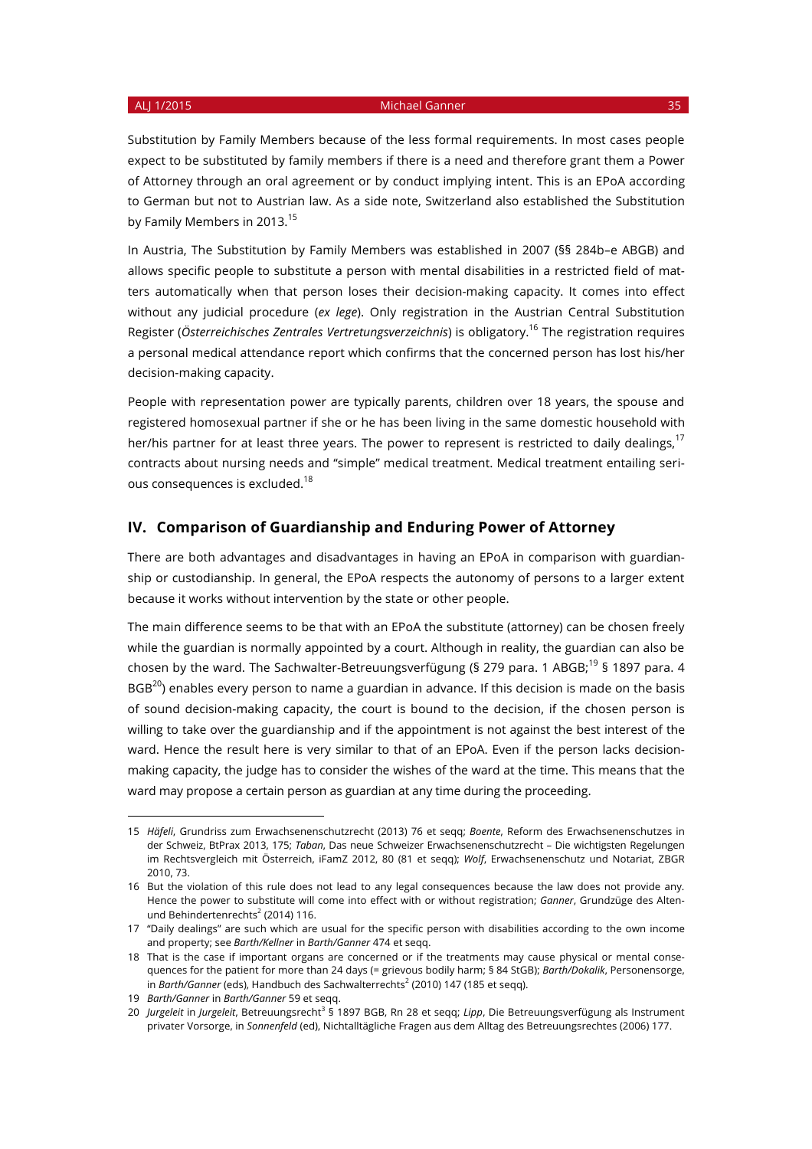Substitution by Family Members because of the less formal requirements. In most cases people expect to be substituted by family members if there is a need and therefore grant them a Power of Attorney through an oral agreement or by conduct implying intent. This is an EPoA according to German but not to Austrian law. As a side note, Switzerland also established the Substitution by Family Members in 2013.<sup>15</sup>

In Austria, The Substitution by Family Members was established in 2007 (§§ 284b–e ABGB) and allows specific people to substitute a person with mental disabilities in a restricted field of matters automatically when that person loses their decision-making capacity. It comes into effect without any judicial procedure (*ex lege*). Only registration in the Austrian Central Substitution Register (*Österreichisches Zentrales Vertretungsverzeichnis*) is obligatory.16 The registration requires a personal medical attendance report which confirms that the concerned person has lost his/her decision-making capacity.

People with representation power are typically parents, children over 18 years, the spouse and registered homosexual partner if she or he has been living in the same domestic household with her/his partner for at least three years. The power to represent is restricted to daily dealings,<sup>17</sup> contracts about nursing needs and "simple" medical treatment. Medical treatment entailing serious consequences is excluded.<sup>18</sup>

## **IV. Comparison of Guardianship and Enduring Power of Attorney**

There are both advantages and disadvantages in having an EPoA in comparison with guardianship or custodianship. In general, the EPoA respects the autonomy of persons to a larger extent because it works without intervention by the state or other people.

The main difference seems to be that with an EPoA the substitute (attorney) can be chosen freely while the guardian is normally appointed by a court. Although in reality, the guardian can also be chosen by the ward. The Sachwalter-Betreuungsverfügung (§ 279 para. 1 ABGB;<sup>19</sup> § 1897 para. 4  $BGB^{20}$ ) enables every person to name a guardian in advance. If this decision is made on the basis of sound decision-making capacity, the court is bound to the decision, if the chosen person is willing to take over the guardianship and if the appointment is not against the best interest of the ward. Hence the result here is very similar to that of an EPoA. Even if the person lacks decisionmaking capacity, the judge has to consider the wishes of the ward at the time. This means that the ward may propose a certain person as guardian at any time during the proceeding.

<sup>15</sup> *Häfeli*, Grundriss zum Erwachsenenschutzrecht (2013) 76 et seqq; *Boente*, Reform des Erwachsenenschutzes in der Schweiz, BtPrax 2013, 175; *Taban*, Das neue Schweizer Erwachsenenschutzrecht – Die wichtigsten Regelungen im Rechtsvergleich mit Österreich, iFamZ 2012, 80 (81 et seqq); *Wolf*, Erwachsenenschutz und Notariat, ZBGR 2010, 73.

<sup>16</sup> But the violation of this rule does not lead to any legal consequences because the law does not provide any. Hence the power to substitute will come into effect with or without registration; *Ganner*, Grundzüge des Altenund Behindertenrechts<sup>2</sup> (2014) 116.

<sup>17</sup> "Daily dealings" are such which are usual for the specific person with disabilities according to the own income and property; see *Barth/Kellner* in *Barth/Ganner* 474 et seqq.

<sup>18</sup> That is the case if important organs are concerned or if the treatments may cause physical or mental consequences for the patient for more than 24 days (= grievous bodily harm; § 84 StGB); *Barth/Dokalik*, Personensorge, in *Barth/Ganner* (eds), Handbuch des Sachwalterrechts<sup>2</sup> (2010) 147 (185 et segg).

<sup>19</sup> *Barth/Ganner* in *Barth/Ganner* 59 et seqq.

<sup>20</sup> *Jurgeleit* in *Jurgeleit*, Betreuungsrecht<sup>3</sup> § 1897 BGB, Rn 28 et seqq; *Lipp*, Die Betreuungsverfügung als Instrument privater Vorsorge, in *Sonnenfeld* (ed), Nichtalltägliche Fragen aus dem Alltag des Betreuungsrechtes (2006) 177.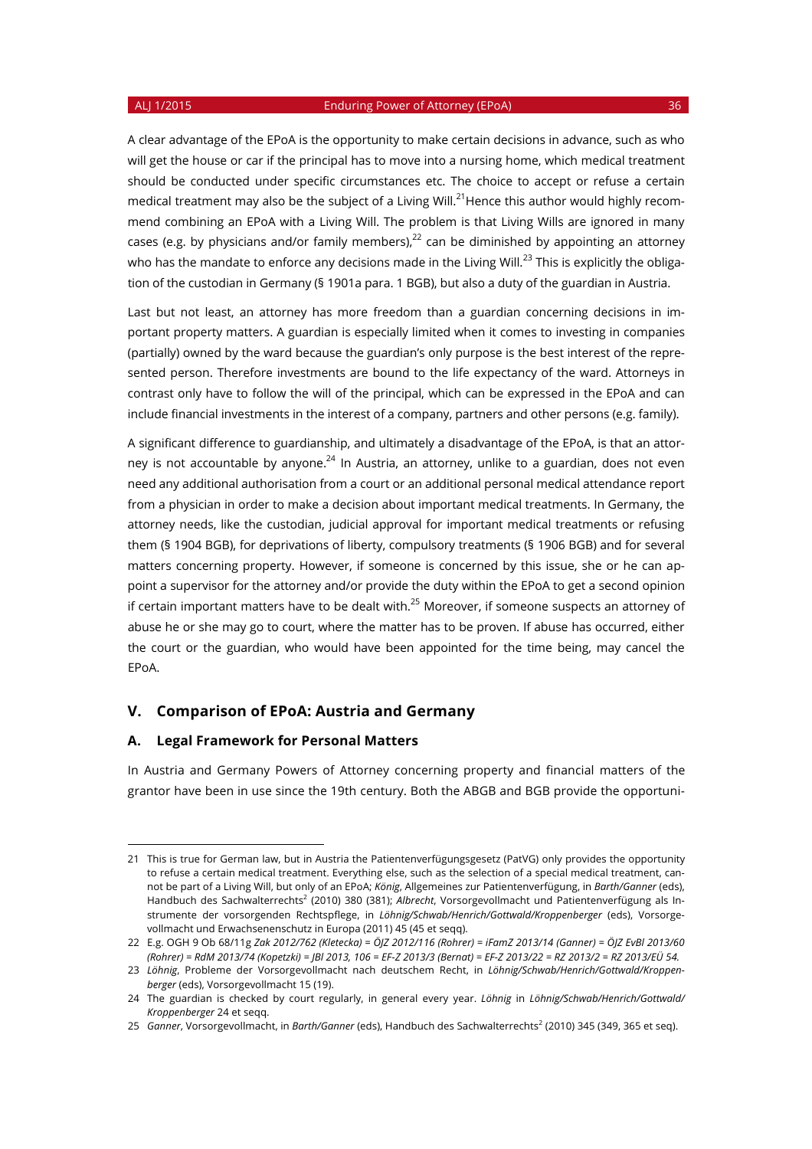A clear advantage of the EPoA is the opportunity to make certain decisions in advance, such as who will get the house or car if the principal has to move into a nursing home, which medical treatment should be conducted under specific circumstances etc. The choice to accept or refuse a certain medical treatment may also be the subject of a Living Will.<sup>21</sup>Hence this author would highly recommend combining an EPoA with a Living Will. The problem is that Living Wills are ignored in many cases (e.g. by physicians and/or family members), $^{22}$  can be diminished by appointing an attorney who has the mandate to enforce any decisions made in the Living Will.<sup>23</sup> This is explicitly the obligation of the custodian in Germany (§ 1901a para. 1 BGB), but also a duty of the guardian in Austria.

Last but not least, an attorney has more freedom than a guardian concerning decisions in important property matters. A guardian is especially limited when it comes to investing in companies (partially) owned by the ward because the guardian's only purpose is the best interest of the represented person. Therefore investments are bound to the life expectancy of the ward. Attorneys in contrast only have to follow the will of the principal, which can be expressed in the EPoA and can include financial investments in the interest of a company, partners and other persons (e.g. family).

A significant difference to guardianship, and ultimately a disadvantage of the EPoA, is that an attorney is not accountable by anyone. $^{24}$  In Austria, an attorney, unlike to a guardian, does not even need any additional authorisation from a court or an additional personal medical attendance report from a physician in order to make a decision about important medical treatments. In Germany, the attorney needs, like the custodian, judicial approval for important medical treatments or refusing them (§ 1904 BGB), for deprivations of liberty, compulsory treatments (§ 1906 BGB) and for several matters concerning property. However, if someone is concerned by this issue, she or he can appoint a supervisor for the attorney and/or provide the duty within the EPoA to get a second opinion if certain important matters have to be dealt with.<sup>25</sup> Moreover, if someone suspects an attorney of abuse he or she may go to court, where the matter has to be proven. If abuse has occurred, either the court or the guardian, who would have been appointed for the time being, may cancel the EPoA.

#### **V. Comparison of EPoA: Austria and Germany**

## **A. Legal Framework for Personal Matters**

 $\overline{a}$ 

In Austria and Germany Powers of Attorney concerning property and financial matters of the grantor have been in use since the 19th century. Both the ABGB and BGB provide the opportuni-

<sup>21</sup> This is true for German law, but in Austria the Patientenverfügungsgesetz (PatVG) only provides the opportunity to refuse a certain medical treatment. Everything else, such as the selection of a special medical treatment, cannot be part of a Living Will, but only of an EPoA; *König*, Allgemeines zur Patientenverfügung, in *Barth/Ganner* (eds), Handbuch des Sachwalterrechts<sup>2</sup> (2010) 380 (381); *Albrecht*, Vorsorgevollmacht und Patientenverfügung als Instrumente der vorsorgenden Rechtspflege, in *Löhnig/Schwab/Henrich/Gottwald/Kroppenberger* (eds), Vorsorgevollmacht und Erwachsenenschutz in Europa (2011) 45 (45 et seqq).

<sup>22</sup> E.g. OGH 9 Ob 68/11g *Zak 2012/762 (Kletecka) = ÖJZ 2012/116 (Rohrer) = iFamZ 2013/14 (Ganner) = ÖJZ EvBl 2013/60 (Rohrer) = RdM 2013/74 (Kopetzki) = JBl 2013, 106 = EF-Z 2013/3 (Bernat) = EF-Z 2013/22 = RZ 2013/2 = RZ 2013/EÜ 54.*

<sup>23</sup> *Löhnig*, Probleme der Vorsorgevollmacht nach deutschem Recht, in *Löhnig/Schwab/Henrich/Gottwald/Kroppenberger* (eds), Vorsorgevollmacht 15 (19).

<sup>24</sup> The guardian is checked by court regularly, in general every year. *Löhnig* in *Löhnig/Schwab/Henrich/Gottwald/ Kroppenberger* 24 et seqq.

<sup>25</sup> Ganner, Vorsorgevollmacht, in Barth/Ganner (eds), Handbuch des Sachwalterrechts<sup>2</sup> (2010) 345 (349, 365 et seq).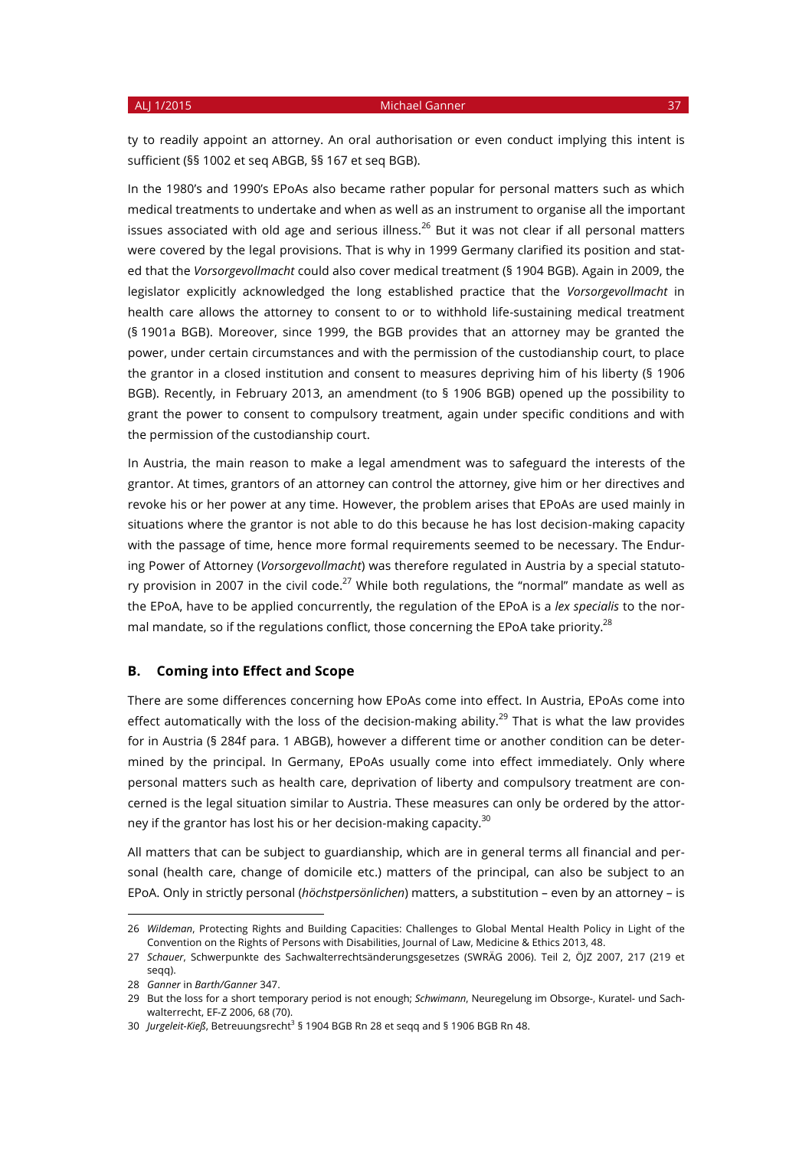ty to readily appoint an attorney. An oral authorisation or even conduct implying this intent is sufficient (§§ 1002 et seq ABGB, §§ 167 et seq BGB).

In the 1980's and 1990's EPoAs also became rather popular for personal matters such as which medical treatments to undertake and when as well as an instrument to organise all the important issues associated with old age and serious illness. $^{26}$  But it was not clear if all personal matters were covered by the legal provisions. That is why in 1999 Germany clarified its position and stated that the *Vorsorgevollmacht* could also cover medical treatment (§ 1904 BGB). Again in 2009, the legislator explicitly acknowledged the long established practice that the *Vorsorgevollmacht* in health care allows the attorney to consent to or to withhold life-sustaining medical treatment (§ 1901a BGB). Moreover, since 1999, the BGB provides that an attorney may be granted the power, under certain circumstances and with the permission of the custodianship court, to place the grantor in a closed institution and consent to measures depriving him of his liberty (§ 1906 BGB). Recently, in February 2013, an amendment (to § 1906 BGB) opened up the possibility to grant the power to consent to compulsory treatment, again under specific conditions and with the permission of the custodianship court.

In Austria, the main reason to make a legal amendment was to safeguard the interests of the grantor. At times, grantors of an attorney can control the attorney, give him or her directives and revoke his or her power at any time. However, the problem arises that EPoAs are used mainly in situations where the grantor is not able to do this because he has lost decision-making capacity with the passage of time, hence more formal requirements seemed to be necessary. The Enduring Power of Attorney (*Vorsorgevollmacht*) was therefore regulated in Austria by a special statutory provision in 2007 in the civil code.<sup>27</sup> While both regulations, the "normal" mandate as well as the EPoA, have to be applied concurrently, the regulation of the EPoA is a *lex specialis* to the normal mandate, so if the regulations conflict, those concerning the EPoA take priority.<sup>28</sup>

## **B. Coming into Effect and Scope**

There are some differences concerning how EPoAs come into effect. In Austria, EPoAs come into effect automatically with the loss of the decision-making ability.<sup>29</sup> That is what the law provides for in Austria (§ 284f para. 1 ABGB), however a different time or another condition can be determined by the principal. In Germany, EPoAs usually come into effect immediately. Only where personal matters such as health care, deprivation of liberty and compulsory treatment are concerned is the legal situation similar to Austria. These measures can only be ordered by the attorney if the grantor has lost his or her decision-making capacity.<sup>30</sup>

All matters that can be subject to guardianship, which are in general terms all financial and personal (health care, change of domicile etc.) matters of the principal, can also be subject to an EPoA. Only in strictly personal (*höchstpersönlichen*) matters, a substitution – even by an attorney – is

<sup>26</sup> *Wildeman*, Protecting Rights and Building Capacities: Challenges to Global Mental Health Policy in Light of the Convention on the Rights of Persons with Disabilities, Journal of Law, Medicine & Ethics 2013, 48.

<sup>27</sup> *Schauer*, Schwerpunkte des Sachwalterrechtsänderungsgesetzes (SWRÄG 2006). Teil 2, ÖJZ 2007, 217 (219 et segg).

<sup>28</sup> *Ganner* in *Barth/Ganner* 347.

<sup>29</sup> But the loss for a short temporary period is not enough; *Schwimann*, Neuregelung im Obsorge-, Kuratel- und Sachwalterrecht, EF-Z 2006, 68 (70).

<sup>30</sup> *Jurgeleit-Kieß*, Betreuungsrecht<sup>3</sup> § 1904 BGB Rn 28 et seqq and § 1906 BGB Rn 48.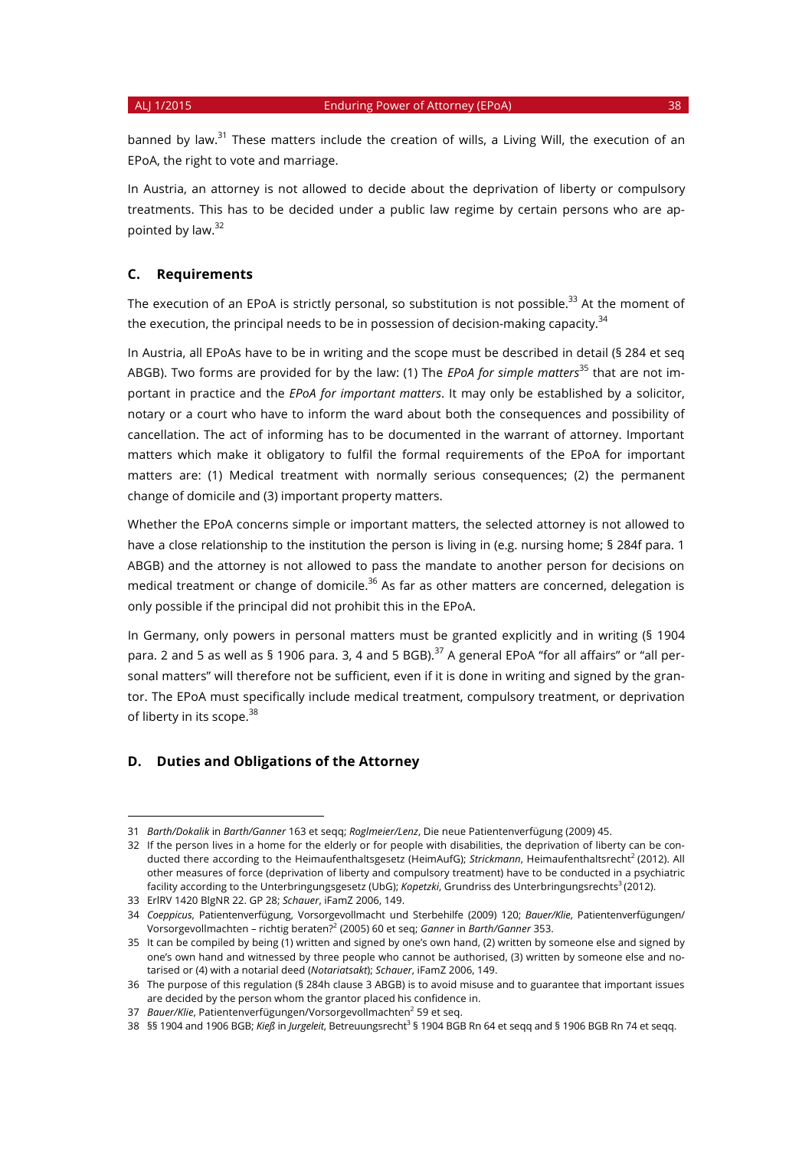banned by law.<sup>31</sup> These matters include the creation of wills, a Living Will, the execution of an EPoA, the right to vote and marriage.

In Austria, an attorney is not allowed to decide about the deprivation of liberty or compulsory treatments. This has to be decided under a public law regime by certain persons who are appointed by law.32

# **C. Requirements**

The execution of an EPoA is strictly personal, so substitution is not possible.<sup>33</sup> At the moment of the execution, the principal needs to be in possession of decision-making capacity.<sup>34</sup>

In Austria, all EPoAs have to be in writing and the scope must be described in detail (§ 284 et seq ABGB). Two forms are provided for by the law: (1) The *EPoA for simple matters*<sup>35</sup> that are not important in practice and the *EPoA for important matters*. It may only be established by a solicitor, notary or a court who have to inform the ward about both the consequences and possibility of cancellation. The act of informing has to be documented in the warrant of attorney. Important matters which make it obligatory to fulfil the formal requirements of the EPoA for important matters are: (1) Medical treatment with normally serious consequences; (2) the permanent change of domicile and (3) important property matters.

Whether the EPoA concerns simple or important matters, the selected attorney is not allowed to have a close relationship to the institution the person is living in (e.g. nursing home; § 284f para. 1 ABGB) and the attorney is not allowed to pass the mandate to another person for decisions on medical treatment or change of domicile.<sup>36</sup> As far as other matters are concerned, delegation is only possible if the principal did not prohibit this in the EPoA.

In Germany, only powers in personal matters must be granted explicitly and in writing (§ 1904 para. 2 and 5 as well as § 1906 para. 3, 4 and 5 BGB).<sup>37</sup> A general EPoA "for all affairs" or "all personal matters" will therefore not be sufficient, even if it is done in writing and signed by the grantor. The EPoA must specifically include medical treatment, compulsory treatment, or deprivation of liberty in its scope.<sup>38</sup>

### **D. Duties and Obligations of the Attorney**

<sup>31</sup> *Barth/Dokalik* in *Barth/Ganner* 163 et seqq; *Roglmeier/Lenz*, Die neue Patientenverfügung (2009) 45.

<sup>32</sup> If the person lives in a home for the elderly or for people with disabilities, the deprivation of liberty can be conducted there according to the Heimaufenthaltsgesetz (HeimAufG); *Strickmann*, Heimaufenthaltsrecht<sup>2</sup> (2012). All other measures of force (deprivation of liberty and compulsory treatment) have to be conducted in a psychiatric facility according to the Unterbringungsgesetz (UbG); *Kopetzki*, Grundriss des Unterbringungsrechts<sup>3</sup> (2012).

<sup>33</sup> ErlRV 1420 BlgNR 22. GP 28; *Schauer*, iFamZ 2006, 149.

<sup>34</sup> *Coeppicus*, Patientenverfügung, Vorsorgevollmacht und Sterbehilfe (2009) 120; *Bauer/Klie*, Patientenverfügungen/ Vorsorgevollmachten – richtig beraten?<sup>2</sup> (2005) 60 et seq; *Ganner* in *Barth/Ganner* 353.

<sup>35</sup> It can be compiled by being (1) written and signed by one's own hand, (2) written by someone else and signed by one's own hand and witnessed by three people who cannot be authorised, (3) written by someone else and notarised or (4) with a notarial deed (*Notariatsakt*); *Schauer*, iFamZ 2006, 149.

<sup>36</sup> The purpose of this regulation (§ 284h clause 3 ABGB) is to avoid misuse and to guarantee that important issues are decided by the person whom the grantor placed his confidence in.

<sup>37</sup> *Bauer/Klie*, Patientenverfügungen/Vorsorgevollmachten<sup>2</sup> 59 et seq.

<sup>38</sup> §§ 1904 and 1906 BGB; *Kieß* in *Jurgeleit*, Betreuungsrecht3 § 1904 BGB Rn 64 et seqq and § 1906 BGB Rn 74 et seqq.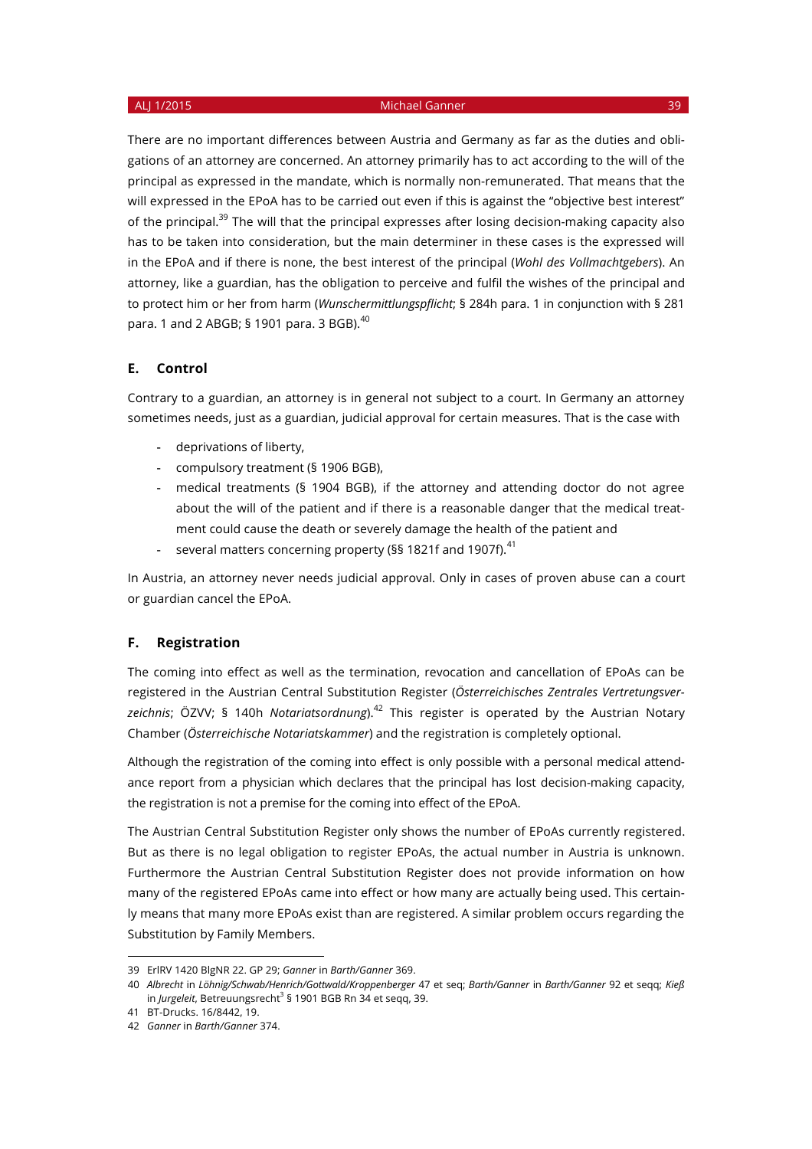There are no important differences between Austria and Germany as far as the duties and obligations of an attorney are concerned. An attorney primarily has to act according to the will of the principal as expressed in the mandate, which is normally non-remunerated. That means that the will expressed in the EPoA has to be carried out even if this is against the "objective best interest" of the principal. $39$  The will that the principal expresses after losing decision-making capacity also has to be taken into consideration, but the main determiner in these cases is the expressed will in the EPoA and if there is none, the best interest of the principal (*Wohl des Vollmachtgebers*). An attorney, like a guardian, has the obligation to perceive and fulfil the wishes of the principal and to protect him or her from harm (*Wunschermittlungspflicht*; § 284h para. 1 in conjunction with § 281 para. 1 and 2 ABGB; § 1901 para. 3 BGB). 40

### **E. Control**

Contrary to a guardian, an attorney is in general not subject to a court. In Germany an attorney sometimes needs, just as a guardian, judicial approval for certain measures. That is the case with

- deprivations of liberty,
- compulsory treatment (§ 1906 BGB),
- medical treatments (§ 1904 BGB), if the attorney and attending doctor do not agree about the will of the patient and if there is a reasonable danger that the medical treatment could cause the death or severely damage the health of the patient and
- several matters concerning property (§§ 1821f and 1907f).<sup>41</sup>

In Austria, an attorney never needs judicial approval. Only in cases of proven abuse can a court or guardian cancel the EPoA.

#### **F. Registration**

The coming into effect as well as the termination, revocation and cancellation of EPoAs can be registered in the Austrian Central Substitution Register (*Österreichisches Zentrales Vertretungsver*zeichnis: ÖZVV: § 140h *Notariatsordnung*).<sup>42</sup> This register is operated by the Austrian Notary Chamber (*Österreichische Notariatskammer*) and the registration is completely optional.

Although the registration of the coming into effect is only possible with a personal medical attendance report from a physician which declares that the principal has lost decision-making capacity, the registration is not a premise for the coming into effect of the EPoA.

The Austrian Central Substitution Register only shows the number of EPoAs currently registered. But as there is no legal obligation to register EPoAs, the actual number in Austria is unknown. Furthermore the Austrian Central Substitution Register does not provide information on how many of the registered EPoAs came into effect or how many are actually being used. This certainly means that many more EPoAs exist than are registered. A similar problem occurs regarding the Substitution by Family Members.

<sup>39</sup> ErlRV 1420 BlgNR 22. GP 29; *Ganner* in *Barth/Ganner* 369.

<sup>40</sup> *Albrecht* in *Löhnig/Schwab/Henrich/Gottwald/Kroppenberger* 47 et seq; *Barth/Ganner* in *Barth/Ganner* 92 et seqq; *Kieß* in *Jurgeleit*, Betreuungsrecht<sup>3</sup> § 1901 BGB Rn 34 et seqq, 39.

<sup>41</sup> BT-Drucks. 16/8442, 19.

<sup>42</sup> *Ganner* in *Barth/Ganner* 374.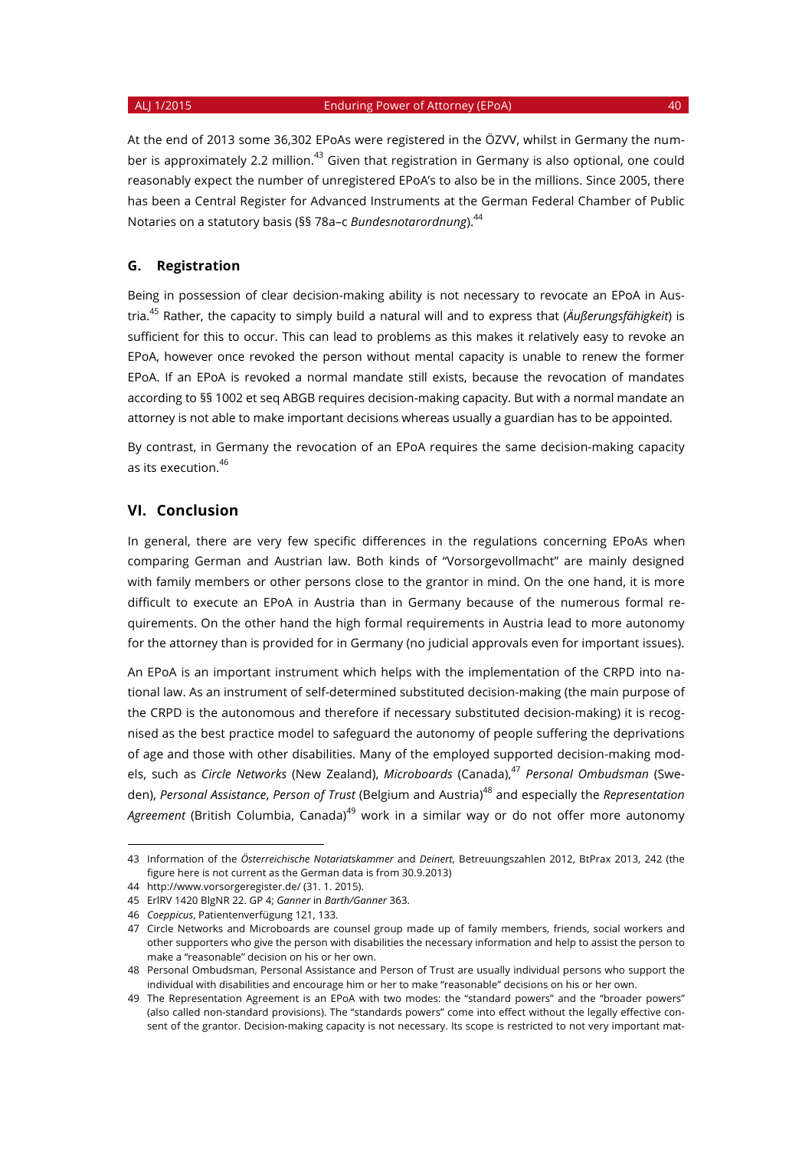At the end of 2013 some 36,302 EPoAs were registered in the ÖZVV, whilst in Germany the number is approximately 2.2 million.<sup>43</sup> Given that registration in Germany is also optional, one could reasonably expect the number of unregistered EPoA's to also be in the millions. Since 2005, there has been a Central Register for Advanced Instruments at the German Federal Chamber of Public Notaries on a statutory basis (§§ 78a–c *Bundesnotarordnung*).<sup>44</sup>

## **G. Registration**

Being in possession of clear decision-making ability is not necessary to revocate an EPoA in Austria.45 Rather, the capacity to simply build a natural will and to express that (*Äußerungsfähigkeit*) is sufficient for this to occur. This can lead to problems as this makes it relatively easy to revoke an EPoA, however once revoked the person without mental capacity is unable to renew the former EPoA. If an EPoA is revoked a normal mandate still exists, because the revocation of mandates according to §§ 1002 et seq ABGB requires decision-making capacity. But with a normal mandate an attorney is not able to make important decisions whereas usually a guardian has to be appointed.

By contrast, in Germany the revocation of an EPoA requires the same decision-making capacity as its execution.<sup>46</sup>

### **VI. Conclusion**

In general, there are very few specific differences in the regulations concerning EPoAs when comparing German and Austrian law. Both kinds of "Vorsorgevollmacht" are mainly designed with family members or other persons close to the grantor in mind. On the one hand, it is more difficult to execute an EPoA in Austria than in Germany because of the numerous formal requirements. On the other hand the high formal requirements in Austria lead to more autonomy for the attorney than is provided for in Germany (no judicial approvals even for important issues).

An EPoA is an important instrument which helps with the implementation of the CRPD into national law. As an instrument of self-determined substituted decision-making (the main purpose of the CRPD is the autonomous and therefore if necessary substituted decision-making) it is recognised as the best practice model to safeguard the autonomy of people suffering the deprivations of age and those with other disabilities. Many of the employed supported decision-making models, such as *Circle Networks* (New Zealand), *Microboards* (Canada),<sup>47</sup> *Personal Ombudsman* (Sweden), *Personal Assistance*, *Person of Trust* (Belgium and Austria)<sup>48</sup> and especially the *Representation*  Agreement (British Columbia, Canada)<sup>49</sup> work in a similar way or do not offer more autonomy

<sup>43</sup> Information of the *Österreichische Notariatskammer* and *Deinert*, Betreuungszahlen 2012, BtPrax 2013, 242 (the figure here is not current as the German data is from 30.9.2013)

<sup>44</sup> http://www.vorsorgeregister.de/ (31. 1. 2015).

<sup>45</sup> ErlRV 1420 BlgNR 22. GP 4; *Ganner* in *Barth/Ganner* 363.

<sup>46</sup> *Coeppicus*, Patientenverfügung 121, 133.

<sup>47</sup> Circle Networks and Microboards are counsel group made up of family members, friends, social workers and other supporters who give the person with disabilities the necessary information and help to assist the person to make a "reasonable" decision on his or her own.

<sup>48</sup> Personal Ombudsman, Personal Assistance and Person of Trust are usually individual persons who support the individual with disabilities and encourage him or her to make "reasonable" decisions on his or her own.

<sup>49</sup> The Representation Agreement is an EPoA with two modes: the "standard powers" and the "broader powers" (also called non-standard provisions). The "standards powers" come into effect without the legally effective consent of the grantor. Decision-making capacity is not necessary. Its scope is restricted to not very important mat-